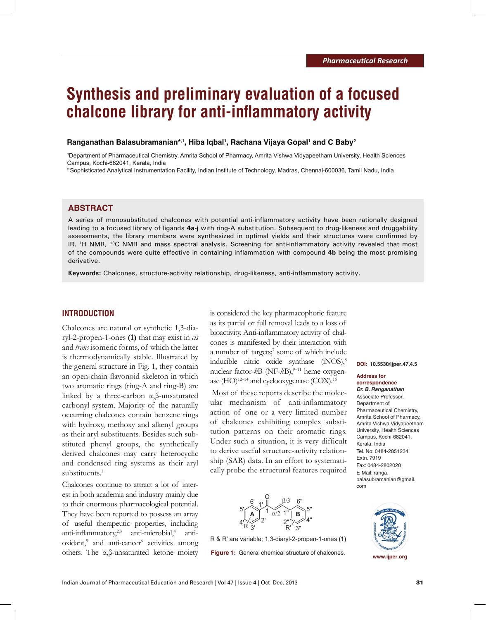# **Synthesis and preliminary evaluation of a focused chalcone library for anti-inflammatory activity**

#### **Ranganathan Balasubramanian\*,1, Hiba Iqbal1 , Rachana Vijaya Gopal1 and C Baby2**

1 Department of Pharmaceutical Chemistry, Amrita School of Pharmacy, Amrita Vishwa Vidyapeetham University, Health Sciences Campus, Kochi-682041, Kerala, India

2 Sophisticated Analytical Instrumentation Facility, Indian Institute of Technology, Madras, Chennai-600036, Tamil Nadu, India

# **ABSTRACT**

A series of monosubstituted chalcones with potential anti-inflammatory activity have been rationally designed leading to a focused library of ligands **4a-j** with ring-A substitution. Subsequent to drug-likeness and druggability assessments, the library members were synthesized in optimal yields and their structures were confirmed by IR, 1H NMR, 13C NMR and mass spectral analysis. Screening for anti-inflammatory activity revealed that most of the compounds were quite effective in containing inflammation with compound **4b** being the most promising derivative.

**Keywords:** Chalcones, structure-activity relationship, drug-likeness, anti-inflammatory activity.

## **INTRODUCTION**

Chalcones are natural or synthetic 1,3-diaryl-2-propen-1-ones **(1)** that may exist in *cis*  and *trans* isomeric forms, of which the latter is thermodynamically stable. Illustrated by the general structure in Fig. 1, they contain an open-chain flavonoid skeleton in which two aromatic rings (ring-A and ring-B) are linked by a three-carbon α,β-unsaturated carbonyl system. Majority of the naturally occurring chalcones contain benzene rings with hydroxy, methoxy and alkenyl groups as their aryl substituents. Besides such substituted phenyl groups, the synthetically derived chalcones may carry heterocyclic and condensed ring systems as their aryl substituents.<sup>1</sup>

Chalcones continue to attract a lot of interest in both academia and industry mainly due to their enormous pharmacological potential. They have been reported to possess an array of useful therapeutic properties, including anti-inflammatory,<sup>2,3</sup> anti-microbial,<sup>4</sup> antioxidant,<sup>5</sup> and anti-cancer<sup>6</sup> activities among others. The α,β-unsaturated ketone moiety **Figure 1:** General chemical structure of chalcones.

is considered the key pharmacophoric feature as its partial or full removal leads to a loss of bioactivity. Anti-inflammatory activity of chalcones is manifested by their interaction with a number of targets;<sup>7</sup> some of which include inducible nitric oxide synthase (iNOS),8 nuclear factor- $kB$  (NF- $kB$ ),<sup>9-11</sup> heme oxygenase  $(HO)^{12-14}$  and cyclooxygenase  $(COX)^{15}$ 

 Most of these reports describe the molecular mechanism of anti-inflammatory action of one or a very limited number of chalcones exhibiting complex substitution patterns on their aromatic rings. Under such a situation, it is very difficult to derive useful structure-activity relationship (SAR) data. In an effort to systematically probe the structural features required



R & R' are variable; 1,3-diaryl-2-propen-1-ones **(1)**

**DOI: 10.5530/ijper.47.4.5**

## **Address for correspondence** *Dr. B. Ranganathan*

Associate Professor, Department of Pharmaceutical Chemistry, Amrita School of Pharmacy, Amrita Vishwa Vidyapeetham University, Health Sciences Campus, Kochi-682041, Kerala, India Tel. No: 0484-2851234 Extn. 7919 Fax: 0484-2802020 E-Mail: ranga. balasubramanian@gmail. com



**www.ijper.org**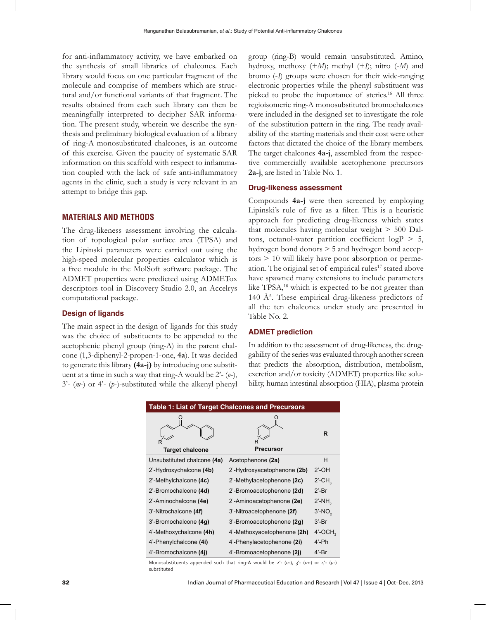for anti-inflammatory activity, we have embarked on the synthesis of small libraries of chalcones. Each library would focus on one particular fragment of the molecule and comprise of members which are structural and/or functional variants of that fragment. The results obtained from each such library can then be meaningfully interpreted to decipher SAR information. The present study, wherein we describe the synthesis and preliminary biological evaluation of a library of ring-A monosubstituted chalcones, is an outcome of this exercise. Given the paucity of systematic SAR information on this scaffold with respect to inflammation coupled with the lack of safe anti-inflammatory agents in the clinic, such a study is very relevant in an attempt to bridge this gap.

# **MATERIALS AND METHODS**

The drug-likeness assessment involving the calculation of topological polar surface area (TPSA) and the Lipinski parameters were carried out using the high-speed molecular properties calculator which is a free module in the MolSoft software package. The ADMET properties were predicted using ADMETox descriptors tool in Discovery Studio 2.0, an Accelrys computational package.

## **Design of ligands**

The main aspect in the design of ligands for this study was the choice of substituents to be appended to the acetophenic phenyl group (ring-A) in the parent chalcone (1,3-diphenyl-2-propen-1-one, **4a**). It was decided to generate this library **(4a-j)** by introducing one substituent at a time in such a way that ring-A would be 2'- (*o*-), 3'- (*m*-) or 4'- (*p*-)-substituted while the alkenyl phenyl

group (ring-B) would remain unsubstituted. Amino, hydroxy, methoxy  $(+M)$ ; methyl  $(+I)$ ; nitro  $(-M)$  and bromo (-*I*) groups were chosen for their wide-ranging electronic properties while the phenyl substituent was picked to probe the importance of sterics.<sup>16</sup> All three regioisomeric ring-A monosubstituted bromochalcones were included in the designed set to investigate the role of the substitution pattern in the ring. The ready availability of the starting materials and their cost were other factors that dictated the choice of the library members. The target chalcones **4a-j**, assembled from the respective commercially available acetophenone precursors **2a-j**, are listed in Table No. 1.

# **Drug-likeness assessment**

Compounds **4a-j** were then screened by employing Lipinski's rule of five as a filter. This is a heuristic approach for predicting drug-likeness which states that molecules having molecular weight > 500 Daltons, octanol-water partition coefficient  $logP > 5$ , hydrogen bond donors > 5 and hydrogen bond acceptors > 10 will likely have poor absorption or permeation. The original set of empirical rules<sup>17</sup> stated above have spawned many extensions to include parameters like TPSA,<sup>18</sup> which is expected to be not greater than 140 Å<sup>2</sup>. These empirical drug-likeness predictors of all the ten chalcones under study are presented in Table No. 2.

#### **ADMET prediction**

In addition to the assessment of drug-likeness, the druggability of the series was evaluated through another screen that predicts the absorption, distribution, metabolism, excretion and/or toxicity (ADMET) properties like solubility, human intestinal absorption (HIA), plasma protein

| Table 1: List of Target Chalcones and Precursors |                             |                       |  |
|--------------------------------------------------|-----------------------------|-----------------------|--|
|                                                  |                             | R                     |  |
| <b>Target chalcone</b>                           | Precursor                   |                       |  |
| Unsubstituted chalcone (4a)                      | Acetophenone (2a)           | н                     |  |
| $2'$ -Hydroxychalcone (4b)                       | 2'-Hydroxyacetophenone (2b) | $2'$ -OH              |  |
| 2'-Methylchalcone (4c)                           | 2'-Methylacetophenone (2c)  | $2'$ -CH $_{\circ}$   |  |
| 2'-Bromochalcone (4d)                            | 2'-Bromoacetophenone (2d)   | $2'$ -Br              |  |
| 2'-Aminochalcone (4e)                            | 2'-Aminoacetophenone (2e)   | $2'$ -NH $_{\circ}$   |  |
| 3'-Nitrochalcone (4f)                            | 3'-Nitroacetophenone (2f)   | $3'$ -NO <sub>2</sub> |  |
| 3'-Bromochalcone (4g)                            | 3'-Bromoacetophenone (2g)   | $3'$ -Br              |  |
| 4'-Methoxychalcone (4h)                          | 4'-Methoxyacetophenone (2h) | $4'$ -OCH,            |  |
| 4'-Phenylchalcone (4i)                           | 4'-Phenylacetophenone (2i)  | $4'$ -Ph              |  |
| 4'-Bromochalcone (4j)                            | 4'-Bromoacetophenone (2j)   | $4'$ -Br              |  |

Monosubstituents appended such that ring-A would be 2'- (*o*-), 3'- (*m*-) or 4'- (*p*-) substituted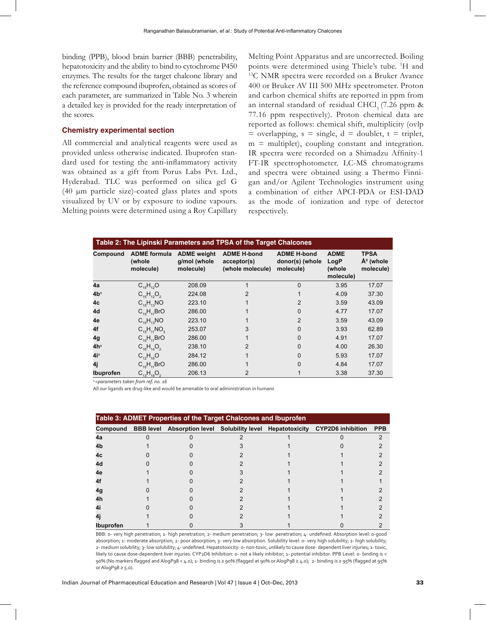binding (PPB), blood brain barrier (BBB) penetrability, hepatotoxicity and the ability to bind to cytochrome P450 enzymes. The results for the target chalcone library and the reference compound ibuprofen, obtained as scores of each parameter, are summarized in Table No. 3 wherein a detailed key is provided for the ready interpretation of the scores.

## **Chemistry experimental section**

All commercial and analytical reagents were used as provided unless otherwise indicated. Ibuprofen standard used for testing the anti-inflammatory activity was obtained as a gift from Porus Labs Pvt. Ltd., Hyderabad. TLC was performed on silica gel G (40 µm particle size)-coated glass plates and spots visualized by UV or by exposure to iodine vapours. Melting points were determined using a Roy Capillary

Melting Point Apparatus and are uncorrected. Boiling points were determined using Thiele's tube. <sup>1</sup>H and  $^{13}$ C NMR spectra were recorded on a Bruker Avance 400 or Bruker AV III 500 MHz spectrometer. Proton and carbon chemical shifts are reported in ppm from an internal standard of residual CHCl<sub>3</sub> (7.26 ppm  $\&$ 77.16 ppm respectively). Proton chemical data are reported as follows: chemical shift, multiplicity (ovlp  $=$  overlapping,  $s =$  single,  $d =$  doublet,  $t =$  triplet,  $m =$  multiplet), coupling constant and integration. IR spectra were recorded on a Shimadzu Affinity-1 FT-IR spectrophotometer. LC-MS chromatograms and spectra were obtained using a Thermo Finnigan and/or Agilent Technologies instrument using a combination of either APCI-PDA or ESI-DAD as the mode of ionization and type of detector respectively.

| Table 2: The Lipinski Parameters and TPSA of the Target Chalcones |                                            |                                                 |                                                       |                                                    |                                            |                                         |
|-------------------------------------------------------------------|--------------------------------------------|-------------------------------------------------|-------------------------------------------------------|----------------------------------------------------|--------------------------------------------|-----------------------------------------|
| Compound                                                          | <b>ADME</b> formula<br>(whole<br>molecule) | <b>ADME</b> weight<br>g/mol (whole<br>molecule) | <b>ADME H-bond</b><br>acceptor(s)<br>(whole molecule) | <b>ADME H-bond</b><br>donor(s) (whole<br>molecule) | <b>ADME</b><br>LogP<br>(whole<br>molecule) | <b>TPSA</b><br>$A2$ (whole<br>molecule) |
| 4a                                                                | $C_{15}H_{12}O$                            | 208.09                                          |                                                       | $\Omega$                                           | 3.95                                       | 17.07                                   |
| 4b <sup>a</sup>                                                   | $C_{15}H_{12}O_2$                          | 224.08                                          | 2                                                     |                                                    | 4.09                                       | 37.30                                   |
| 4c                                                                | $C_{15}H_{13}NO$                           | 223.10                                          |                                                       | 2                                                  | 3.59                                       | 43.09                                   |
| 4d                                                                | $C_{15}H_{11}BrO$                          | 286.00                                          |                                                       | 0                                                  | 4.77                                       | 17.07                                   |
| 4e                                                                | $C_{15}H_{13}NO$                           | 223.10                                          |                                                       | $\overline{2}$                                     | 3.59                                       | 43.09                                   |
| 4f                                                                | $C_{16}H_{11}NO_{2}$                       | 253.07                                          | 3                                                     | O                                                  | 3.93                                       | 62.89                                   |
| 4g                                                                | $C_{15}H_{11}BrO$                          | 286.00                                          |                                                       | 0                                                  | 4.91                                       | 17.07                                   |
| 4h <sup>a</sup>                                                   | $C_{16}H_{14}O_2$                          | 238.10                                          | $\mathfrak{p}$                                        | $\Omega$                                           | 4.00                                       | 26.30                                   |
| 4i <sup>a</sup>                                                   | $C_{12}H_{16}O$                            | 284.12                                          |                                                       | <sup>0</sup>                                       | 5.93                                       | 17.07                                   |
| 4j                                                                | $C_{15}H_{11}BrO$                          | 286.00                                          |                                                       | 0                                                  | 4.84                                       | 17.07                                   |
| Ibuprofen                                                         | $C_{13}H_{18}O_2$                          | 206.13                                          | 2                                                     |                                                    | 3.38                                       | 37.30                                   |

<sup>a</sup>*=parameters taken from ref. no. 16*

All our ligands are drug-like and would be amenable to oral administration in humans

| Table 3: ADMET Properties of the Target Chalcones and Ibuprofen |  |  |  |  |                                                                                       |            |  |
|-----------------------------------------------------------------|--|--|--|--|---------------------------------------------------------------------------------------|------------|--|
|                                                                 |  |  |  |  | Compound BBB level Absorption level Solubility level Hepatotoxicity CYP2D6 inhibition | <b>PPB</b> |  |
| 4a                                                              |  |  |  |  |                                                                                       |            |  |
| 4b                                                              |  |  |  |  |                                                                                       |            |  |
| 4c                                                              |  |  |  |  |                                                                                       |            |  |
| 4d                                                              |  |  |  |  |                                                                                       |            |  |
| 4e                                                              |  |  |  |  |                                                                                       |            |  |
|                                                                 |  |  |  |  |                                                                                       |            |  |
| 40                                                              |  |  |  |  |                                                                                       |            |  |
| 4h                                                              |  |  |  |  |                                                                                       |            |  |
|                                                                 |  |  |  |  |                                                                                       |            |  |
|                                                                 |  |  |  |  |                                                                                       |            |  |
| <b>Ibuprofen</b>                                                |  |  |  |  |                                                                                       |            |  |

BBB: 0- very high penetration; 1- high penetration; 2- medium penetration; 3- low penetration; 4- undefined. Absorption level: 0-good absorption; 1- moderate absorption; 2- poor absorption; 3- very low absorption. Solubility level: 0- very high solubility; 1- high solubility; 2- medium solubility; 3- low solubility; 4- undefined. Hepatotoxicity: 0- non-toxic, unlikely to cause dose- dependent liver injuries; 1- toxic, likely to cause dose-dependent liver injuries. CYP2D6 Inhibition: 0- not a likely inhibitor; 1- potential inhibitor. PPB Level: 0- binding is < 90% (No markers flagged and AlogP98 < 4.0); 1- binding is ≥ 90% (flagged at 90% or AlogP98 ≥ 4.0); 2- binding is ≥ 95% (flagged at 95% or AlogP98  $\geq$  5.0).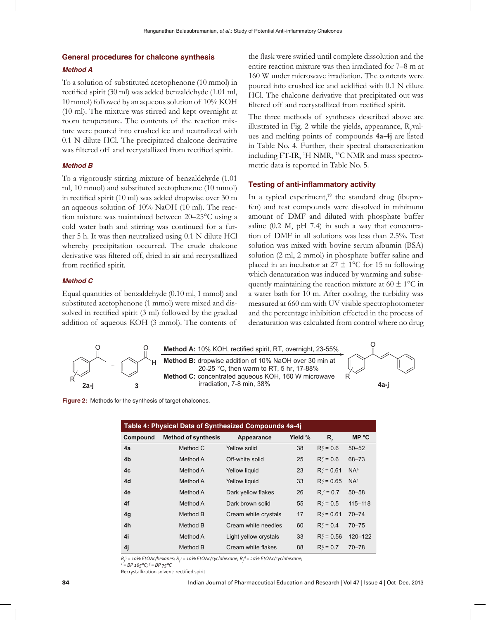# **General procedures for chalcone synthesis**

## *Method A*

To a solution of substituted acetophenone (10 mmol) in rectified spirit (30 ml) was added benzaldehyde (1.01 ml, 10 mmol) followed by an aqueous solution of 10% KOH (10 ml). The mixture was stirred and kept overnight at room temperature. The contents of the reaction mixture were poured into crushed ice and neutralized with 0.1 N dilute HCl. The precipitated chalcone derivative was filtered off and recrystallized from rectified spirit.

#### *Method B*

To a vigorously stirring mixture of benzaldehyde (1.01 ml, 10 mmol) and substituted acetophenone (10 mmol) in rectified spirit (10 ml) was added dropwise over 30 m an aqueous solution of 10% NaOH (10 ml). The reaction mixture was maintained between 20–25°C using a cold water bath and stirring was continued for a further 5 h. It was then neutralized using 0.1 N dilute HCl whereby precipitation occurred. The crude chalcone derivative was filtered off, dried in air and recrystallized from rectified spirit.

#### *Method C*

Equal quantities of benzaldehyde (0.10 ml, 1 mmol) and substituted acetophenone (1 mmol) were mixed and dissolved in rectified spirit (3 ml) followed by the gradual addition of aqueous KOH (3 mmol). The contents of

the flask were swirled until complete dissolution and the entire reaction mixture was then irradiated for 7–8 m at 160 W under microwave irradiation. The contents were poured into crushed ice and acidified with 0.1 N dilute HCl. The chalcone derivative that precipitated out was filtered off and recrystallized from rectified spirit.

The three methods of syntheses described above are illustrated in Fig. 2 while the yields, appearance, R<sub>f</sub> values and melting points of compounds **4a-4j** are listed in Table No. 4. Further, their spectral characterization including FT-IR, <sup>1</sup>H NMR, <sup>13</sup>C NMR and mass spectrometric data is reported in Table No. 5.

## **Testing of anti-inflammatory activity**

In a typical experiment,<sup>19</sup> the standard drug (ibuprofen) and test compounds were dissolved in minimum amount of DMF and diluted with phosphate buffer saline  $(0.2 \text{ M}, \text{pH} 7.4)$  in such a way that concentration of DMF in all solutions was less than 2.5%. Test solution was mixed with bovine serum albumin (BSA) solution (2 ml, 2 mmol) in phosphate buffer saline and placed in an incubator at  $27 \pm 1$ °C for 15 m following which denaturation was induced by warming and subsequently maintaining the reaction mixture at  $60 \pm 1$ °C in a water bath for 10 m. After cooling, the turbidity was measured at 660 nm with UV visible spectrophotometer and the percentage inhibition effected in the process of denaturation was calculated from control where no drug



**Figure 2:** Methods for the synthesis of target chalcones.

| Table 4: Physical Data of Synthesized Compounds 4a-4j |                            |                       |         |                                 |                        |  |
|-------------------------------------------------------|----------------------------|-----------------------|---------|---------------------------------|------------------------|--|
| Compound                                              | <b>Method of synthesis</b> | Appearance            | Yield % | R,                              | <b>MP °C</b>           |  |
| 4a                                                    | Method C                   | Yellow solid          | 38      | $R_t^b = 0.6$                   | $50 - 52$              |  |
| 4b                                                    | Method A                   | Off-white solid       | 25      | $R_t^b = 0.6$                   | $68 - 73$              |  |
| 4c                                                    | Method A                   | Yellow liquid         | 23      | $R_c^c = 0.61$                  | NA <sup>e</sup>        |  |
| 4d                                                    | Method A                   | Yellow liquid         | 33      | $R_c^c = 0.65$                  | <b>NA</b> <sup>f</sup> |  |
| 4e                                                    | Method A                   | Dark yellow flakes    | 26      | $R_c^c = 0.7$                   | $50 - 58$              |  |
| 4f                                                    | Method A                   | Dark brown solid      | 55      | $R_t^d = 0.5$                   | $115 - 118$            |  |
| 4 <sub>q</sub>                                        | Method B                   | Cream white crystals  | 17      | $R_c^c = 0.61$                  | $70 - 74$              |  |
| 4h                                                    | Method B                   | Cream white needles   | 60      | $R_{\epsilon}^{\text{b}} = 0.4$ | $70 - 75$              |  |
| 4i                                                    | Method A                   | Light yellow crystals | 33      | $R_c^b = 0.56$                  | 120-122                |  |
| 4j                                                    | Method B                   | Cream white flakes    | 88      | $R_c^b = 0.7$                   | $70 - 78$              |  |

*Rf* <sup>b</sup>*= 10% EtOAc/hexanes; Rf* <sup>c</sup>*= 10% EtOAc/cyclohexane; Rf* <sup>d</sup>*= 20% EtOAc/cyclohexane;*

*e = BP 165°C; f = BP 75°C*

Recrystallization solvent: rectified spirit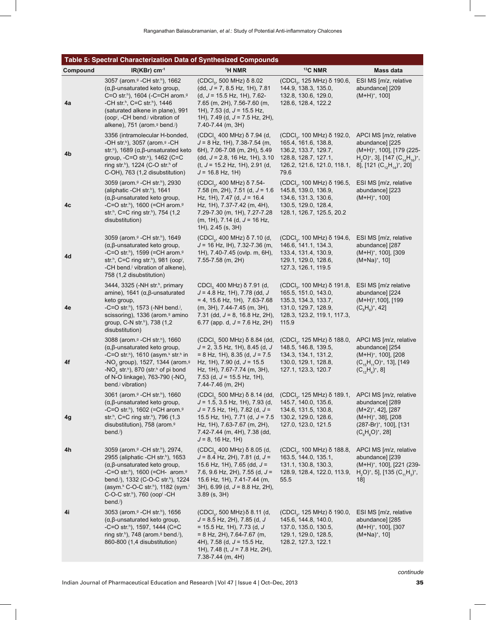# **Table 5: Spectral Characterization Data of Synthesized Compounds**

| Compound | $IR(KBr)$ cm <sup>-1</sup>                                                                                                                                                                                                                                                                                                                                                                                                            | <sup>1</sup> H NMR                                                                                                                                                                                                                                                                                | <sup>13</sup> C NMR                                                                                                                                    | Mass data                                                                                                                                                                                                                             |
|----------|---------------------------------------------------------------------------------------------------------------------------------------------------------------------------------------------------------------------------------------------------------------------------------------------------------------------------------------------------------------------------------------------------------------------------------------|---------------------------------------------------------------------------------------------------------------------------------------------------------------------------------------------------------------------------------------------------------------------------------------------------|--------------------------------------------------------------------------------------------------------------------------------------------------------|---------------------------------------------------------------------------------------------------------------------------------------------------------------------------------------------------------------------------------------|
| 4a       | 3057 (arom. <sup>9</sup> - CH str. <sup>h</sup> ), 1662<br>$(\alpha, \beta$ -unsaturated keto group,<br>C=O str. <sup>h</sup> ), 1604 (-C=CH arom. <sup>9</sup><br>-CH str.h, C=C str.h), 1446<br>(saturated alkene in plane), 991<br>(oop <sup>i</sup> , -CH bend. <sup>j</sup> vibration of<br>alkene), 751 (arom. <sup>9</sup> bend. <sup>j</sup> )                                                                                | (CDCl <sub>3</sub> , 500 MHz) δ 8.02<br>$(dd, J = 7, 8.5 Hz, 1H), 7.81$<br>(d, $J = 15.5$ Hz, 1H), 7.62-<br>7.65 (m, 2H), 7.56-7.60 (m,<br>1H), 7.53 (d, $J = 15.5$ Hz,<br>1H), 7.49 (d, $J = 7.5$ Hz, 2H),<br>7.40-7.44 (m, 3H)                                                                  | (CDCl <sub>3</sub> , 125 MHz) δ 190.6,<br>144.9, 138.3, 135.0,<br>132.8, 130.6, 129.0,<br>128.6, 128.4, 122.2                                          | ESI MS [m/z, relative<br>abundance] [209<br>$(M+H)^{+}$ , 100]                                                                                                                                                                        |
| 4b       | 3356 (intramolecular H-bonded,<br>-OH str. <sup>h</sup> ), 3057 (arom. <sup>9</sup> -CH<br>str. <sup>h</sup> ), 1689 ( $\alpha$ , $\beta$ -unsaturated keto<br>group, -C=O str. <sup>h</sup> ), 1462 (C=C<br>ring str. <sup>h</sup> ), 1224 (C-O str.h of<br>C-OH), 763 (1,2 disubstitution)                                                                                                                                          | (CDCl <sub>3</sub> 400 MHz) δ 7.94 (d,<br>$J = 8$ Hz, 1H), 7.38-7.54 (m,<br>6H), 7.06-7.08 (m, 2H), 5.49<br>$(dd, J = 2.8, 16 Hz, 1H), 3.10$<br>$(t, J = 15.2 \text{ Hz}, 1H)$ , 2.91 (d,<br>$J = 16.8$ Hz, 1H)                                                                                   | $(CDCI_{3}$ , 100 MHz) $\delta$ 192.0,<br>165.4, 161.6, 138.8,<br>136.2, 133.7, 129.7,<br>128.8, 128.7, 127.1,<br>126.2, 121.6, 121.0, 118.1,<br>79.6  | APCI MS $[m/z,$ relative<br>abundance] [225<br>(M+H) <sup>+</sup> , 100], [179 (225-<br>H <sub>2</sub> O) <sup>+</sup> , 3], [147 (C <sub>14</sub> H <sub>16</sub> ) <sup>+</sup> ,<br>8], [121 ( $C_{12}H_{14}$ ) <sup>+</sup> , 20] |
| 4c       | 3059 (arom. <sup>9</sup> - CH str. <sup>h</sup> ), 2930<br>(aliphatic -CH str. <sup>h</sup> ), 1641<br>$(\alpha, \beta$ -unsaturated keto group,<br>-C=O str. <sup>h</sup> ), 1600 (=CH arom. <sup>9</sup><br>str. <sup>h</sup> , C=C ring str.h), 754 (1,2<br>disubstitution)                                                                                                                                                        | (CDCI <sub>3</sub> , 400 MHz) $\delta$ 7.54-<br>7.58 (m, 2H), 7.51 (d, J = 1.6<br>Hz, 1H), 7.47 (d, $J = 16.4$<br>Hz, 1H), 7.37-7.42 (m, 4H),<br>7.29-7.30 (m, 1H), 7.27-7.28<br>$(m, 1H)$ , 7.14 (d, $J = 16 Hz$ ,<br>1H), 2.45 (s, 3H)                                                          | (CDCl <sub>3</sub> , 100 MHz) δ 196.5,<br>145.8, 139.0, 136.9,<br>134.6, 131.3, 130.6,<br>130.5, 129.0, 128.4,<br>128.1, 126.7, 125.5, 20.2            | ESI MS [m/z, relative<br>abundance] [223<br>$(M+H)^{+}$ , 100]                                                                                                                                                                        |
| 4d       | 3059 (arom. <sup>9</sup> - CH str. <sup>h</sup> ), 1649<br>$(\alpha, \beta$ -unsaturated keto group,<br>-C=O str.h), 1599 (=CH arom. <sup>9</sup><br>str. <sup>h</sup> , C=C ring str.h), 981 (oop <sup>i</sup> ,<br>-CH bend. <sup>j</sup> vibration of alkene),<br>758 (1,2 disubstitution)                                                                                                                                         | (CDCl <sub>3</sub> , 400 MHz) δ 7.10 (d,<br>$J = 16$ Hz, IH), 7.32-7.36 (m,<br>1H), 7.40-7.45 (ovlp. m, 6H),<br>7.55-7.58 (m, 2H)                                                                                                                                                                 | (CDCl <sub>3</sub> , 100 MHz) δ 194.6,<br>146.6, 141.1, 134.3,<br>133.4, 131.4, 130.9,<br>129.1, 129.0, 128.6,<br>127.3, 126.1, 119.5                  | ESI MS [m/z, relative<br>abundance] [287<br>$(M+H)^{+}$ , 100], [309<br>$(M+Na)^{+}$ , 10]                                                                                                                                            |
| 4e       | 3444, 3325 (-NH str. <sup>h</sup> , primary<br>amine), 1641 ( $\alpha$ , $\beta$ -unsaturated<br>keto group,<br>-C=O str. <sup>h</sup> ), 1573 (-NH bend. <sup>j</sup> ,<br>scissoring), 1336 (arom. <sup>9</sup> amino<br>group, C-N str. <sup>h</sup> ), 738 (1,2)<br>disubstitution)                                                                                                                                               | CDCl <sub>3</sub> 400 MHz) δ 7.91 (d,<br>$J = 4.8$ Hz, 1H), 7.78 (dd, J<br>$= 4, 15.6$ Hz, 1H), 7.63-7.68<br>(m, 3H), 7.44-7.45 (m, 3H),<br>7.31 (dd, $J = 8$ , 16.8 Hz, 2H),<br>6.77 (app. d, $J = 7.6$ Hz, 2H)                                                                                  | (CDCl <sub>3</sub> , 100 MHz) δ 191.8,<br>165.5, 151.0, 143.0,<br>135.3, 134.3, 133.7,<br>131.0, 129.7, 128.9,<br>128.3, 123.2, 119.1, 117.3,<br>115.9 | ESI MS [m/z relative<br>abundance] [224<br>(M+H) <sup>+</sup> ,100], [199<br>$(C_{8}H_{8})^{+}$ , 42]                                                                                                                                 |
| 4f       | 3088 (arom. <sup>9</sup> - CH str. <sup>h</sup> ), 1660<br>$(\alpha, \beta$ -unsaturated keto group,<br>-C=O str. <sup>h</sup> ), 1610 (asym. <sup>k</sup> str.h in<br>-NO <sub>2</sub> group), 1527, 1344 (arom. <sup>9</sup><br>-NO <sub>2</sub> str. <sup>h</sup> ), 870 (str. <sup>h</sup> of pi bond<br>of N-O linkage), 763-790 (-NO <sub>2</sub><br>bend. <sup>j</sup> vibration)                                              | (CDCl <sub>3</sub> 500 MHz) δ 8.84 (dd,<br>$J = 2$ , 3.5 Hz, 1H), 8.45 (d, J<br>$= 8$ Hz, 1H), 8.35 (d, J = 7.5<br>Hz, 1H), 7.90 (d, $J = 15.5$<br>Hz, 1H), 7.67-7.74 (m, 3H),<br>7.53 (d, $J = 15.5$ Hz, 1H),<br>7.44-7.46 (m, 2H)                                                               | (CDCl <sub>3</sub> , 125 MHz) δ 188.0,<br>148.5, 146.8, 139.5,<br>134.3, 134.1, 131.2,<br>130.0, 129.1, 128.8,<br>127.1, 123.3, 120.7                  | APCI MS [m/z, relative<br>abundance] [254<br>(M+H) <sup>+</sup> , 100], [208<br>$(C_{15}H_{11}O)^{+}$ , 13], [149<br>$(C_{12}H_4)^+$ , 8]                                                                                             |
| 4g       | 3061 (arom. <sup>9</sup> - CH str. <sup>h</sup> ), 1660<br>$(\alpha, \beta$ -unsaturated keto group,<br>-C=O str. <sup>h</sup> ), 1602 (=CH arom. <sup>9</sup><br>str. <sup>h</sup> , C=C ring str.h), 796 (1,3<br>disubstitution), 758 (arom. <sup>9</sup><br>bend. <sup>j</sup> )                                                                                                                                                   | (CDCI <sub>3</sub> 500 MHz) $\delta$ 8.14 (dd, (CDCI <sub>3</sub> , 125 MHz) $\delta$ 189.1,<br>$J = 1.5$ , 3.5 Hz, 1H), 7.93 (d,<br>$J = 7.5$ Hz, 1H), 7.82 (d, $J =$<br>15.5 Hz, 1H), 7.71 (d, $J = 7.5$<br>Hz, 1H), 7.63-7.67 (m, 2H),<br>7.42-7.44 (m, 4H), 7.38 (dd,<br>$J = 8$ , 16 Hz, 1H) | 145.7, 140.0, 135.6,<br>134.6, 131.5, 130.8,<br>130.2, 129.0, 128.6,<br>127.0, 123.0, 121.5                                                            | APCI MS [m/z, relative<br>abundance] [289<br>(M+2) <sup>+</sup> , 42], [287<br>(M+H) <sup>+</sup> , 38], [208<br>(287-Br) <sup>+</sup> , 100], [131<br>$(C_{o}H_{o}O)^{+}$ , 28]                                                      |
| 4h       | 3059 (arom. <sup>9</sup> - CH str. <sup>h</sup> ), 2974,<br>2955 (aliphatic - CH str. <sup>h</sup> ), 1653<br>$(\alpha, \beta$ -unsaturated keto group,<br>-C=O str. <sup>h</sup> ), 1600 (=CH- arom. <sup>9</sup><br>bend. <sup>j</sup> ), 1332 (C-O-C str. <sup>h</sup> ), 1224<br>(asym <sup>k</sup> C-O-C str <sup>h</sup> ), 1182 (sym <sup>1</sup><br>C-O-C str. <sup>h</sup> ), 760 (oop <sup>i</sup> -CH<br>bend <sub>j</sub> | $(CDCI3 400 MHz)$ $\delta$ 8.05 (d,<br>$J = 8.4$ Hz, 2H), 7.81 (d, $J =$<br>15.6 Hz, 1H), 7.65 (dd, $J =$<br>7.6, 9.6 Hz, 2H), 7.55 (d, $J =$<br>15.6 Hz, 1H), 7.41-7.44 (m,<br>$3H$ , 6.99 (d, J = 8.8 Hz, 2H),<br>$3.89$ (s, $3H$ )                                                             | (CDCl <sub>3</sub> , 100 MHz) δ 188.8,<br>163.5, 144.0, 135.1,<br>131.1, 130.8, 130.3,<br>128.9, 128.4, 122.0, 113.9,<br>55.5                          | APCI MS [m/z, relative<br>abundance] [239<br>(M+H) <sup>+</sup> , 100], [221 (239-<br>$H_2O$ <sup>+</sup> , 5], [135 (C <sub>11</sub> H <sub>3</sub> ) <sup>+</sup> ,<br>18]                                                          |
| 4i       | 3053 (arom. <sup>9</sup> - CH str. <sup>h</sup> ), 1656<br>$(\alpha, \beta$ -unsaturated keto group,<br>-C=O str. <sup>h</sup> ), 1597, 1444 (C=C<br>ring str. <sup>h</sup> ), 748 (arom. <sup>g</sup> bend. <sup>j</sup> ),<br>860-800 (1,4 disubstitution)                                                                                                                                                                          | (CDCl <sub>3</sub> , 500 MHz) δ 8.11 (d,<br>$J = 8.5$ Hz, 2H), 7.85 (d, J<br>$= 15.5$ Hz, 1H), 7.73 (d, J<br>$= 8$ Hz, 2H), 7.64-7.67 (m,<br>4H), 7.58 (d, $J = 15.5$ Hz,<br>1H), 7.48 (t, $J = 7.8$ Hz, 2H),<br>$7.38 - 7.44$ (m, 4H)                                                            | (CDCl <sub>3</sub> , 125 MHz) δ 190.0,<br>145.6, 144.8, 140.0,<br>137.0, 135.0, 130.5,<br>129.1, 129.0, 128.5,<br>128.2, 127.3, 122.1                  | ESI MS [m/z, relative<br>abundance] [285<br>(M+H) <sup>+</sup> , 100], [307<br>$(M+Na)^{+}$ , 10]                                                                                                                                     |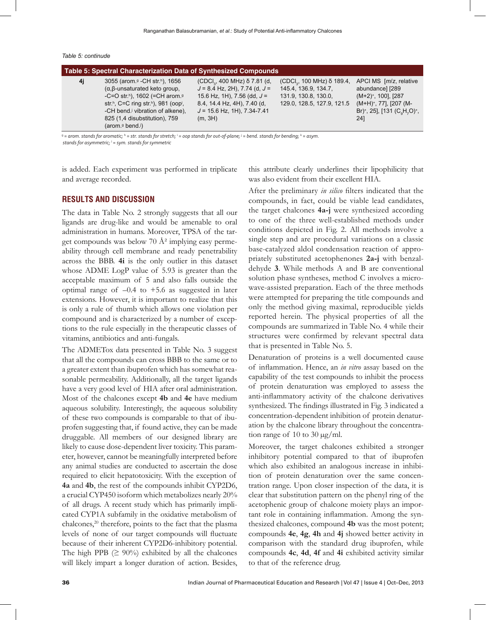*Table 5: continude*

| Table 5: Spectral Characterization Data of Synthesized Compounds |                                                                                                                                                                                                                                                                                                                                                                |                                                                                                                                                                                           |                                                                                                                   |                                                                                                                                                                                                     |  |  |
|------------------------------------------------------------------|----------------------------------------------------------------------------------------------------------------------------------------------------------------------------------------------------------------------------------------------------------------------------------------------------------------------------------------------------------------|-------------------------------------------------------------------------------------------------------------------------------------------------------------------------------------------|-------------------------------------------------------------------------------------------------------------------|-----------------------------------------------------------------------------------------------------------------------------------------------------------------------------------------------------|--|--|
| 4j                                                               | 3055 (arom. <sup>9</sup> - CH str. <sup>h</sup> ), 1656<br>$(\alpha, \beta$ -unsaturated keto group.<br>-C=O str. <sup>h</sup> ), 1602 (=CH arom. <sup>9</sup><br>str <sup>h</sup> , C=C ring str <sup>h</sup> ), 981 (oop <sup>i</sup> ,<br>-CH bend. <sup>j</sup> vibration of alkene).<br>825 (1.4 disubstitution), 759<br>$(\text{arom.}9 \text{ bend.}9)$ | $(CDCI_{3}$ , 400 MHz) $\delta$ 7.81 (d,<br>$J = 8.4$ Hz, 2H), 7.74 (d, $J =$<br>15.6 Hz, 1H), 7.56 (dd, $J =$<br>8.4, 14.4 Hz, 4H), 7.40 (d,<br>$J = 15.6$ Hz, 1H), 7.34-7.41<br>(m, 3H) | $(CDCI_3, 100 MHz)$ $\delta$ 189.4,<br>145.4, 136.9, 134.7,<br>131.9, 130.8, 130.0,<br>129.0, 128.5, 127.9, 121.5 | APCI MS [m/z, relative<br>abundance] [289<br>(M+2) <sup>+</sup> , 100], [287<br>$(M+H)^{+}$ , 77], [207 (M-<br>Br) <sup>+</sup> , 25], [131 (C <sub>o</sub> H <sub>7</sub> O) <sup>+</sup> ,<br>24] |  |  |
|                                                                  |                                                                                                                                                                                                                                                                                                                                                                |                                                                                                                                                                                           |                                                                                                                   |                                                                                                                                                                                                     |  |  |

g  *= arom. stands for aromatic;* <sup>h</sup>  *= str. stands for stretch;* <sup>i</sup>  *= oop stands for out-of-plane;* <sup>j</sup>  *= bend. stands for bending;* <sup>k</sup>  *= asym. stands for asymmetric;* <sup>l</sup>  *= sym. stands for symmetric*

is added. Each experiment was performed in triplicate and average recorded.

## **RESULTS AND DISCUSSION**

The data in Table No. 2 strongly suggests that all our ligands are drug-like and would be amenable to oral administration in humans. Moreover, TPSA of the target compounds was below 70  $A^2$  implying easy permeability through cell membrane and ready penetrability across the BBB. **4i** is the only outlier in this dataset whose ADME LogP value of 5.93 is greater than the acceptable maximum of 5 and also falls outside the optimal range of  $-0.4$  to  $+5.6$  as suggested in later extensions. However, it is important to realize that this is only a rule of thumb which allows one violation per compound and is characterized by a number of exceptions to the rule especially in the therapeutic classes of vitamins, antibiotics and anti-fungals.

The ADMETox data presented in Table No. 3 suggest that all the compounds can cross BBB to the same or to a greater extent than ibuprofen which has somewhat reasonable permeability. Additionally, all the target ligands have a very good level of HIA after oral administration. Most of the chalcones except **4b** and **4e** have medium aqueous solubility. Interestingly, the aqueous solubility of these two compounds is comparable to that of ibuprofen suggesting that, if found active, they can be made druggable. All members of our designed library are likely to cause dose-dependent liver toxicity. This parameter, however, cannot be meaningfully interpreted before any animal studies are conducted to ascertain the dose required to elicit hepatotoxicity. With the exception of **4a** and **4b**, the rest of the compounds inhibit CYP2D6, a crucial CYP450 isoform which metabolizes nearly 20% of all drugs. A recent study which has primarily implicated CYP1A subfamily in the oxidative metabolism of chalcones,<sup>20</sup> therefore, points to the fact that the plasma levels of none of our target compounds will fluctuate because of their inherent CYP2D6-inhibitory potential. The high PPB  $(≥ 90%)$  exhibited by all the chalcones will likely impart a longer duration of action. Besides,

this attribute clearly underlines their lipophilicity that was also evident from their excellent HIA.

After the preliminary *in silico* filters indicated that the compounds, in fact, could be viable lead candidates, the target chalcones **4a-j** were synthesized according to one of the three well-established methods under conditions depicted in Fig. 2. All methods involve a single step and are procedural variations on a classic base-catalyzed aldol condensation reaction of appropriately substituted acetophenones **2a-j** with benzaldehyde **3**. While methods A and B are conventional solution phase syntheses, method C involves a microwave-assisted preparation. Each of the three methods were attempted for preparing the title compounds and only the method giving maximal, reproducible yields reported herein. The physical properties of all the compounds are summarized in Table No. 4 while their structures were confirmed by relevant spectral data that is presented in Table No. 5.

Denaturation of proteins is a well documented cause of inflammation. Hence, an *in vitro* assay based on the capability of the test compounds to inhibit the process of protein denaturation was employed to assess the anti-inflammatory activity of the chalcone derivatives synthesized. The findings illustrated in Fig. 3 indicated a concentration-dependent inhibition of protein denaturation by the chalcone library throughout the concentration range of 10 to 30  $\mu$ g/ml.

Moreover, the target chalcones exhibited a stronger inhibitory potential compared to that of ibuprofen which also exhibited an analogous increase in inhibition of protein denaturation over the same concentration range. Upon closer inspection of the data, it is clear that substitution pattern on the phenyl ring of the acetophenic group of chalcone moiety plays an important role in containing inflammation. Among the synthesized chalcones, compound **4b** was the most potent; compounds **4e**, **4g**, **4h** and **4j** showed better activity in comparison with the standard drug ibuprofen, while compounds **4c**, **4d**, **4f** and **4i** exhibited activity similar to that of the reference drug.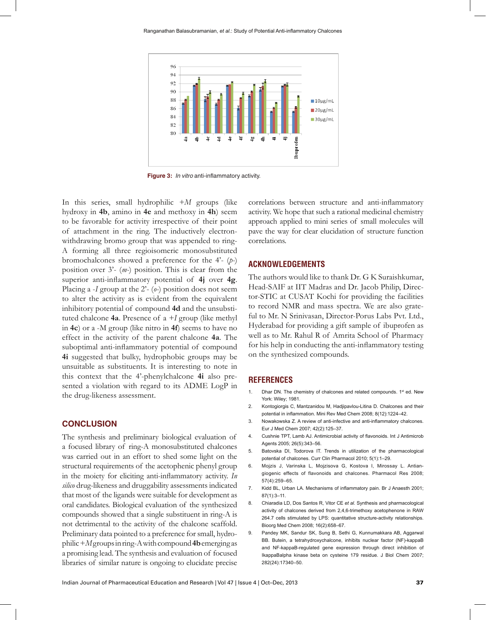

**Figure 3:** *In vitro* anti-inflammatory activity.

In this series, small hydrophilic *+M* groups (like hydroxy in **4b**, amino in **4e** and methoxy in **4h**) seem to be favorable for activity irrespective of their point of attachment in the ring. The inductively electronwithdrawing bromo group that was appended to ring-A forming all three regioisomeric monosubstituted bromochalcones showed a preference for the 4'- (*p-*) position over 3'- (*m-*) position. This is clear from the superior anti-inflammatory potential of **4j** over **4g**. Placing a -*I* group at the 2'- (*o-*) position does not seem to alter the activity as is evident from the equivalent inhibitory potential of compound **4d** and the unsubstituted chalcone **4a**. Presence of a *+I* group (like methyl in **4c**) or a -M group (like nitro in **4f**) seems to have no effect in the activity of the parent chalcone **4a**. The suboptimal anti-inflammatory potential of compound **4i** suggested that bulky, hydrophobic groups may be unsuitable as substituents. It is interesting to note in this context that the 4'-phenylchalcone **4i** also presented a violation with regard to its ADME LogP in the drug-likeness assessment.

## **CONCLUSION**

The synthesis and preliminary biological evaluation of a focused library of ring-A monosubstituted chalcones was carried out in an effort to shed some light on the structural requirements of the acetophenic phenyl group in the moiety for eliciting anti-inflammatory activity. *In silico* drug-likeness and druggability assessments indicated that most of the ligands were suitable for development as oral candidates. Biological evaluation of the synthesized compounds showed that a single substituent in ring-A is not detrimental to the activity of the chalcone scaffold. Preliminary data pointed to a preference for small, hydrophilic +*M* groups in ring-A with compound **4b** emerging as a promising lead. The synthesis and evaluation of focused libraries of similar nature is ongoing to elucidate precise

correlations between structure and anti-inflammatory activity. We hope that such a rational medicinal chemistry approach applied to mini series of small molecules will pave the way for clear elucidation of structure function correlations.

## **ACKNOWLEDGEMENTS**

The authors would like to thank Dr. G K Suraishkumar, Head-SAIF at IIT Madras and Dr. Jacob Philip, Director-STIC at CUSAT Kochi for providing the facilities to record NMR and mass spectra. We are also grateful to Mr. N Srinivasan, Director-Porus Labs Pvt. Ltd., Hyderabad for providing a gift sample of ibuprofen as well as to Mr. Rahul R of Amrita School of Pharmacy for his help in conducting the anti-inflammatory testing on the synthesized compounds.

## **REFERENCES**

- 1. Dhar DN. The chemistry of chalcones and related compounds. 1<sup>st</sup> ed. New York: Wiley; 1981.
- 2. Kontogiorgis C, Mantzanidou M, Hadjipavlou-Litina D. Chalcones and their potential in inflammation. Mini Rev Med Chem 2008; 8(12):1224–42.
- 3. Nowakowska Z. A review of anti-infective and anti-inflammatory chalcones. Eur J Med Chem 2007; 42(2):125–37.
- 4. Cushnie TPT, Lamb AJ. Antimicrobial activity of flavonoids. Int J Antimicrob Agents 2005; 26(5):343–56.
- 5. Batovska DI, Todorova IT. Trends in utilization of the pharmacological potential of chalcones. Curr Clin Pharmacol 2010; 5(1):1–29.
- 6. Mojzis J, Varinska L, Mojzisova G, Kostova I, Mirossay L. Antiangiogenic effects of flavonoids and chalcones. Pharmacol Res 2008; 57(4):259–65.
- 7. Kidd BL, Urban LA. Mechanisms of inflammatory pain. Br J Anaesth 2001; 87(1):3–11.
- 8. Chiaradia LD, Dos Santos R, Vitor CE *et al*. Synthesis and pharmacological activity of chalcones derived from 2,4,6-trimethoxy acetophenone in RAW 264.7 cells stimulated by LPS: quantitative structure-activity relationships. Bioorg Med Chem 2008; 16(2):658–67.
- 9. Pandey MK, Sandur SK, Sung B, Sethi G, Kunnumakkara AB, Aggarwal BB. Butein, a tetrahydroxychalcone, inhibits nuclear factor (NF)-kappaB and NF-kappaB-regulated gene expression through direct inhibition of IkappaBalpha kinase beta on cysteine 179 residue. J Biol Chem 2007; 282(24):17340–50.